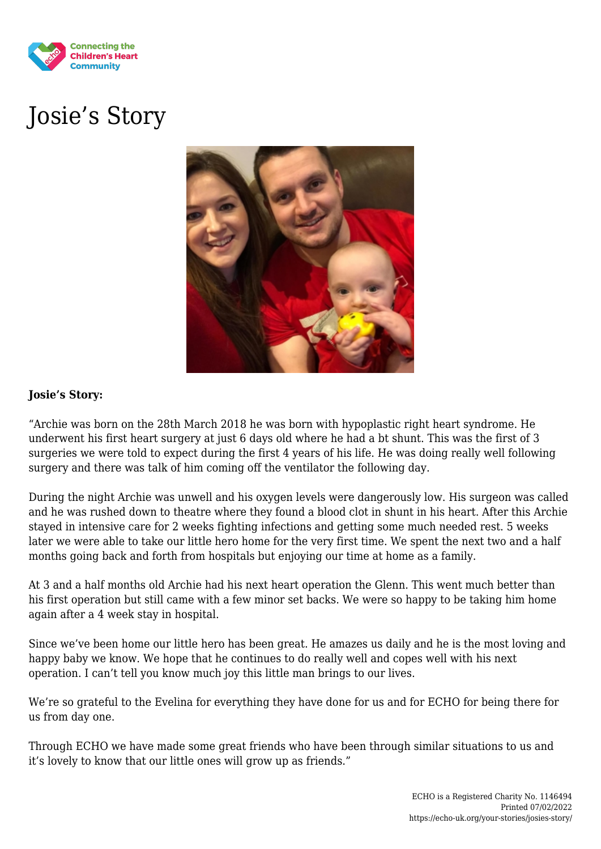

## Josie's Story



## **Josie's Story:**

"Archie was born on the 28th March 2018 he was born with hypoplastic right heart syndrome. He underwent his first heart surgery at just 6 days old where he had a bt shunt. This was the first of 3 surgeries we were told to expect during the first 4 years of his life. He was doing really well following surgery and there was talk of him coming off the ventilator the following day.

During the night Archie was unwell and his oxygen levels were dangerously low. His surgeon was called and he was rushed down to theatre where they found a blood clot in shunt in his heart. After this Archie stayed in intensive care for 2 weeks fighting infections and getting some much needed rest. 5 weeks later we were able to take our little hero home for the very first time. We spent the next two and a half months going back and forth from hospitals but enjoying our time at home as a family.

At 3 and a half months old Archie had his next heart operation the Glenn. This went much better than his first operation but still came with a few minor set backs. We were so happy to be taking him home again after a 4 week stay in hospital.

Since we've been home our little hero has been great. He amazes us daily and he is the most loving and happy baby we know. We hope that he continues to do really well and copes well with his next operation. I can't tell you know much joy this little man brings to our lives.

We're so grateful to the Evelina for everything they have done for us and for ECHO for being there for us from day one.

Through ECHO we have made some great friends who have been through similar situations to us and it's lovely to know that our little ones will grow up as friends."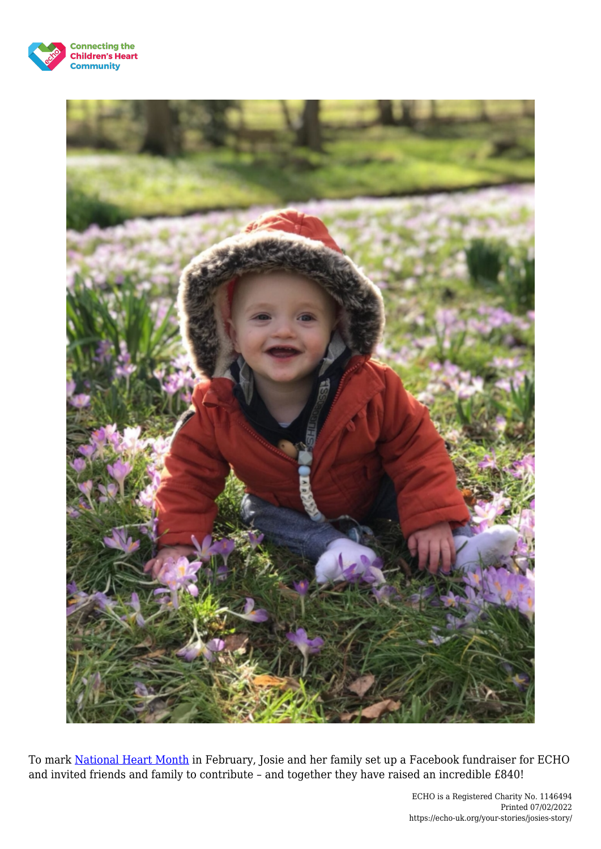



To mark [National Heart Month](https://echo-uk.org/2019/01/07/wear-red-and-support-echo-for-national-heart-month-week/) in February, Josie and her family set up a Facebook fundraiser for ECHO and invited friends and family to contribute – and together they have raised an incredible £840!

> ECHO is a Registered Charity No. 1146494 Printed 07/02/2022 https://echo-uk.org/your-stories/josies-story/